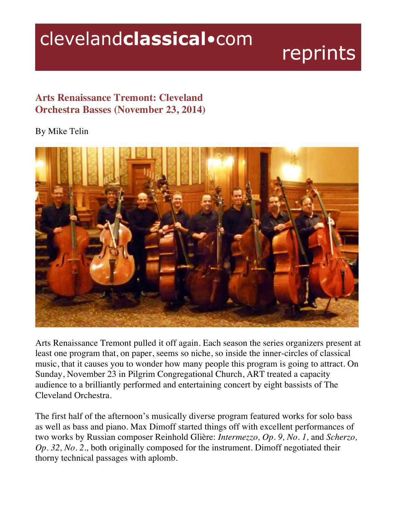## clevelandclassical.com

## reprints

## **Arts Renaissance Tremont: Cleveland Orchestra Basses (November 23, 2014)**

## By Mike Telin



Arts Renaissance Tremont pulled it off again. Each season the series organizers present at least one program that, on paper, seems so niche, so inside the inner-circles of classical music, that it causes you to wonder how many people this program is going to attract. On Sunday, November 23 in Pilgrim Congregational Church, ART treated a capacity audience to a brilliantly performed and entertaining concert by eight bassists of The Cleveland Orchestra.

The first half of the afternoon's musically diverse program featured works for solo bass as well as bass and piano. Max Dimoff started things off with excellent performances of two works by Russian composer Reinhold Glière: *Intermezzo, Op. 9, No. 1,* and *Scherzo, Op. 32, No. 2.,* both originally composed for the instrument. Dimoff negotiated their thorny technical passages with aplomb.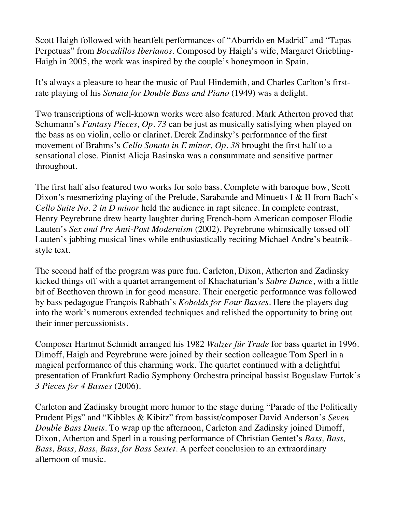Scott Haigh followed with heartfelt performances of "Aburrido en Madrid" and "Tapas Perpetuas" from *Bocadillos Iberianos*. Composed by Haigh's wife, Margaret Griebling-Haigh in 2005, the work was inspired by the couple's honeymoon in Spain.

It's always a pleasure to hear the music of Paul Hindemith, and Charles Carlton's firstrate playing of his *Sonata for Double Bass and Piano* (1949) was a delight.

Two transcriptions of well-known works were also featured. Mark Atherton proved that Schumann's *Fantasy Pieces, Op. 73* can be just as musically satisfying when played on the bass as on violin, cello or clarinet. Derek Zadinsky's performance of the first movement of Brahms's *Cello Sonata in E minor, Op. 38* brought the first half to a sensational close. Pianist Alicja Basinska was a consummate and sensitive partner throughout.

The first half also featured two works for solo bass. Complete with baroque bow, Scott Dixon's mesmerizing playing of the Prelude, Sarabande and Minuetts I & II from Bach's *Cello Suite No. 2 in D minor* held the audience in rapt silence. In complete contrast, Henry Peyrebrune drew hearty laughter during French-born American composer Elodie Lauten's *Sex and Pre Anti-Post Modernism* (2002). Peyrebrune whimsically tossed off Lauten's jabbing musical lines while enthusiastically reciting Michael Andre's beatnikstyle text.

The second half of the program was pure fun. Carleton, Dixon, Atherton and Zadinsky kicked things off with a quartet arrangement of Khachaturian's *Sabre Dance*, with a little bit of Beethoven thrown in for good measure. Their energetic performance was followed by bass pedagogue François Rabbath's *Kobolds for Four Basses*. Here the players dug into the work's numerous extended techniques and relished the opportunity to bring out their inner percussionists.

Composer Hartmut Schmidt arranged his 1982 *Walzer für Trude* for bass quartet in 1996. Dimoff, Haigh and Peyrebrune were joined by their section colleague Tom Sperl in a magical performance of this charming work. The quartet continued with a delightful presentation of Frankfurt Radio Symphony Orchestra principal bassist Boguslaw Furtok's *3 Pieces for 4 Basses* (2006)*.* 

Carleton and Zadinsky brought more humor to the stage during "Parade of the Politically Prudent Pigs" and "Kibbles & Kibitz" from bassist/composer David Anderson's *Seven Double Bass Duets.* To wrap up the afternoon, Carleton and Zadinsky joined Dimoff, Dixon, Atherton and Sperl in a rousing performance of Christian Gentet's *Bass, Bass, Bass, Bass, Bass, Bass, for Bass Sextet*. A perfect conclusion to an extraordinary afternoon of music.